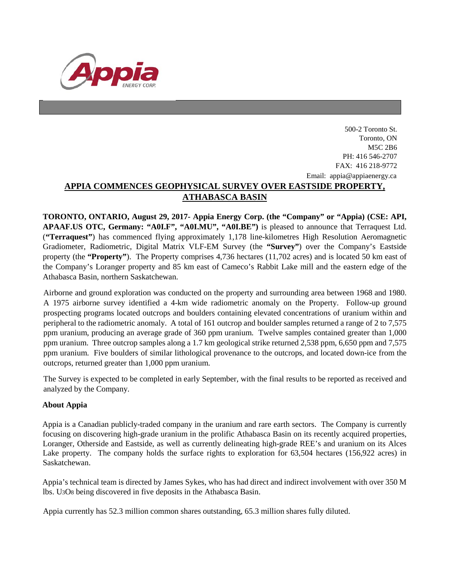

## 500-2 Toronto St. Toronto, ON M5C 2B6 PH: 416 546-2707 FAX: 416 218-9772 Email: appia@appiaenergy.ca **APPIA COMMENCES GEOPHYSICAL SURVEY OVER EASTSIDE PROPERTY, ATHABASCA BASIN**

**TORONTO, ONTARIO, August 29, 2017- Appia Energy Corp. (the "Company" or "Appia) (CSE: API, APAAF.US OTC, Germany: "A0I.F", "A0I.MU", "A0I.BE")** is pleased to announce that Terraquest Ltd. (**"Terraquest"**) has commenced flying approximately 1,178 line-kilometres High Resolution Aeromagnetic Gradiometer, Radiometric, Digital Matrix VLF-EM Survey (the **"Survey"**) over the Company's Eastside property (the **"Property"**). The Property comprises 4,736 hectares (11,702 acres) and is located 50 km east of the Company's Loranger property and 85 km east of Cameco's Rabbit Lake mill and the eastern edge of the Athabasca Basin, northern Saskatchewan.

Airborne and ground exploration was conducted on the property and surrounding area between 1968 and 1980. A 1975 airborne survey identified a 4-km wide radiometric anomaly on the Property. Follow-up ground prospecting programs located outcrops and boulders containing elevated concentrations of uranium within and peripheral to the radiometric anomaly. A total of 161 outcrop and boulder samples returned a range of 2 to 7,575 ppm uranium, producing an average grade of 360 ppm uranium. Twelve samples contained greater than 1,000 ppm uranium. Three outcrop samples along a 1.7 km geological strike returned 2,538 ppm, 6,650 ppm and 7,575 ppm uranium. Five boulders of similar lithological provenance to the outcrops, and located down-ice from the outcrops, returned greater than 1,000 ppm uranium.

The Survey is expected to be completed in early September, with the final results to be reported as received and analyzed by the Company.

## **About Appia**

Appia is a Canadian publicly-traded company in the uranium and rare earth sectors. The Company is currently focusing on discovering high-grade uranium in the prolific Athabasca Basin on its recently acquired properties, Loranger, Otherside and Eastside, as well as currently delineating high-grade REE's and uranium on its Alces Lake property. The company holds the surface rights to exploration for 63,504 hectares (156,922 acres) in Saskatchewan.

Appia's technical team is directed by James Sykes, who has had direct and indirect involvement with over 350 M lbs. U3O8 being discovered in five deposits in the Athabasca Basin.

Appia currently has 52.3 million common shares outstanding, 65.3 million shares fully diluted.